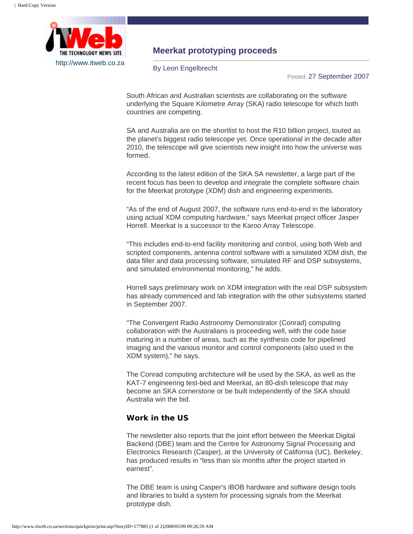

## **Meerkat prototyping proceeds**

By Leon Engelbrecht

Posted: 27 September 2007

South African and Australian scientists are collaborating on the software underlying the Square Kilometre Array (SKA) radio telescope for which both countries are competing.

SA and Australia are on the shortlist to host the R10 billion project, touted as the planet's biggest radio telescope yet. Once operational in the decade after 2010, the telescope will give scientists new insight into how the universe was formed.

According to the latest edition of the SKA SA newsletter, a large part of the recent focus has been to develop and integrate the complete software chain for the Meerkat prototype (XDM) dish and engineering experiments.

"As of the end of August 2007, the software runs end-to-end in the laboratory using actual XDM computing hardware," says Meerkat project officer Jasper Horrell. Meerkat is a successor to the Karoo Array Telescope.

"This includes end-to-end facility monitoring and control, using both Web and scripted components, antenna control software with a simulated XDM dish, the data filler and data processing software, simulated RF and DSP subsystems, and simulated environmental monitoring," he adds.

Horrell says preliminary work on XDM integration with the real DSP subsystem has already commenced and lab integration with the other subsystems started in September 2007.

"The Convergent Radio Astronomy Demonstrator (Conrad) computing collaboration with the Australians is proceeding well, with the code base maturing in a number of areas, such as the synthesis code for pipelined imaging and the various monitor and control components (also used in the XDM system)," he says.

The Conrad computing architecture will be used by the SKA, as well as the KAT-7 engineering test-bed and Meerkat, an 80-dish telescope that may become an SKA cornerstone or be built independently of the SKA should Australia win the bid.

## **Work in the US**

The newsletter also reports that the joint effort between the Meerkat Digital Backend (DBE) team and the Centre for Astronomy Signal Processing and Electronics Research (Casper), at the University of California (UC), Berkeley, has produced results in "less than six months after the project started in earnest".

The DBE team is using Casper's iBOB hardware and software design tools and libraries to build a system for processing signals from the Meerkat prototype dish.